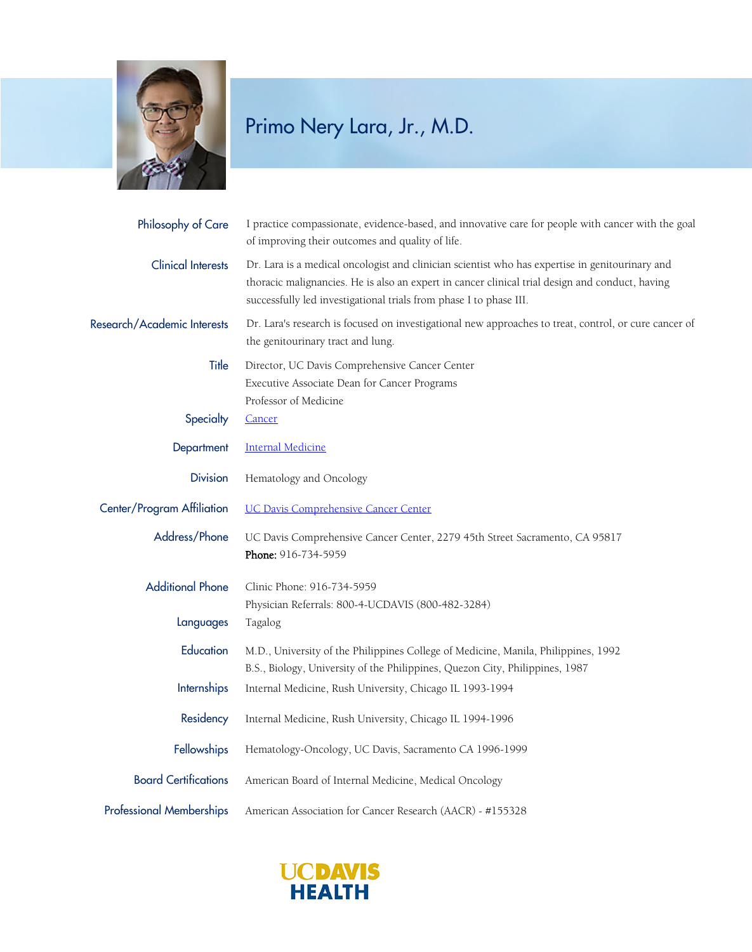

| Philosophy of Care              | I practice compassionate, evidence-based, and innovative care for people with cancer with the goal<br>of improving their outcomes and quality of life.                                                                                                                   |
|---------------------------------|--------------------------------------------------------------------------------------------------------------------------------------------------------------------------------------------------------------------------------------------------------------------------|
| <b>Clinical Interests</b>       | Dr. Lara is a medical oncologist and clinician scientist who has expertise in genitourinary and<br>thoracic malignancies. He is also an expert in cancer clinical trial design and conduct, having<br>successfully led investigational trials from phase I to phase III. |
| Research/Academic Interests     | Dr. Lara's research is focused on investigational new approaches to treat, control, or cure cancer of<br>the genitourinary tract and lung.                                                                                                                               |
| Title                           | Director, UC Davis Comprehensive Cancer Center<br>Executive Associate Dean for Cancer Programs<br>Professor of Medicine                                                                                                                                                  |
| Specialty                       | <b>Cancer</b>                                                                                                                                                                                                                                                            |
| Department                      | <b>Internal Medicine</b>                                                                                                                                                                                                                                                 |
| <b>Division</b>                 | Hematology and Oncology                                                                                                                                                                                                                                                  |
| Center/Program Affiliation      | <b>UC Davis Comprehensive Cancer Center</b>                                                                                                                                                                                                                              |
| Address/Phone                   | UC Davis Comprehensive Cancer Center, 2279 45th Street Sacramento, CA 95817<br>Phone: 916-734-5959                                                                                                                                                                       |
| <b>Additional Phone</b>         | Clinic Phone: 916-734-5959<br>Physician Referrals: 800-4-UCDAVIS (800-482-3284)                                                                                                                                                                                          |
| Languages                       | Tagalog                                                                                                                                                                                                                                                                  |
| Education                       | M.D., University of the Philippines College of Medicine, Manila, Philippines, 1992<br>B.S., Biology, University of the Philippines, Quezon City, Philippines, 1987                                                                                                       |
| <b>Internships</b>              | Internal Medicine, Rush University, Chicago IL 1993-1994                                                                                                                                                                                                                 |
| Residency                       | Internal Medicine, Rush University, Chicago IL 1994-1996                                                                                                                                                                                                                 |
| <b>Fellowships</b>              | Hematology-Oncology, UC Davis, Sacramento CA 1996-1999                                                                                                                                                                                                                   |
| <b>Board Certifications</b>     | American Board of Internal Medicine, Medical Oncology                                                                                                                                                                                                                    |
| <b>Professional Memberships</b> | American Association for Cancer Research (AACR) - #155328                                                                                                                                                                                                                |

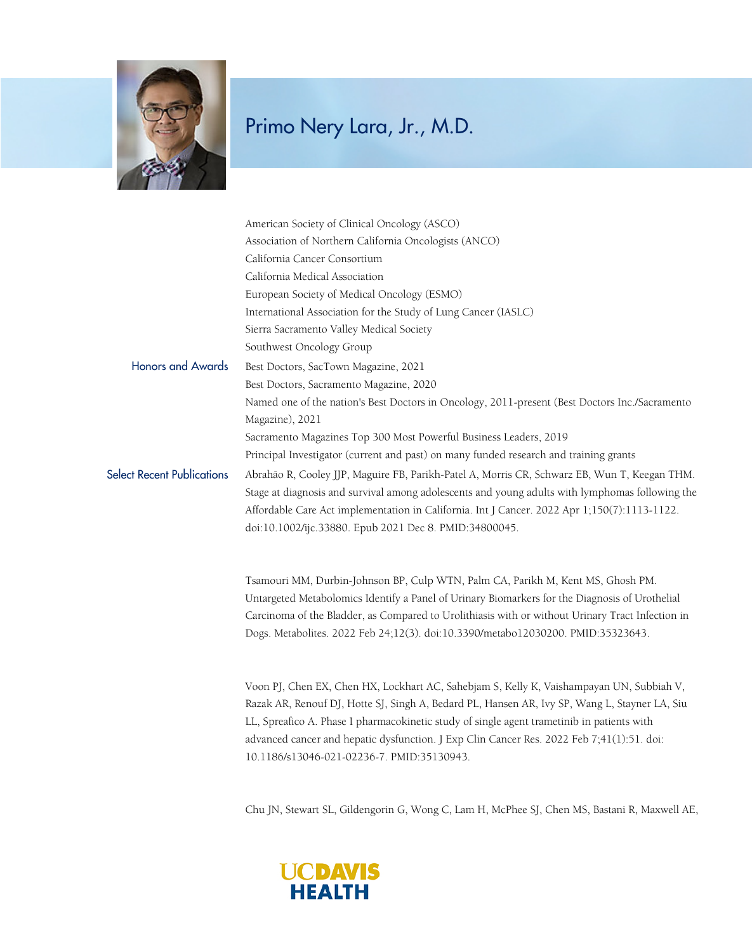

|                                   | American Society of Clinical Oncology (ASCO)                                                     |
|-----------------------------------|--------------------------------------------------------------------------------------------------|
|                                   | Association of Northern California Oncologists (ANCO)                                            |
|                                   | California Cancer Consortium                                                                     |
|                                   | California Medical Association                                                                   |
|                                   | European Society of Medical Oncology (ESMO)                                                      |
|                                   | International Association for the Study of Lung Cancer (IASLC)                                   |
|                                   | Sierra Sacramento Valley Medical Society                                                         |
|                                   | Southwest Oncology Group                                                                         |
| <b>Honors and Awards</b>          | Best Doctors, SacTown Magazine, 2021                                                             |
|                                   | Best Doctors, Sacramento Magazine, 2020                                                          |
|                                   | Named one of the nation's Best Doctors in Oncology, 2011-present (Best Doctors Inc./Sacramento   |
|                                   | Magazine), 2021                                                                                  |
|                                   | Sacramento Magazines Top 300 Most Powerful Business Leaders, 2019                                |
|                                   | Principal Investigator (current and past) on many funded research and training grants            |
| <b>Select Recent Publications</b> | Abrahão R, Cooley JJP, Maguire FB, Parikh-Patel A, Morris CR, Schwarz EB, Wun T, Keegan THM.     |
|                                   | Stage at diagnosis and survival among adolescents and young adults with lymphomas following the  |
|                                   | Affordable Care Act implementation in California. Int J Cancer. 2022 Apr 1;150(7):1113-1122.     |
|                                   | doi:10.1002/ijc.33880. Epub 2021 Dec 8. PMID:34800045.                                           |
|                                   | Tsamouri MM, Durbin-Johnson BP, Culp WTN, Palm CA, Parikh M, Kent MS, Ghosh PM.                  |
|                                   | Untargeted Metabolomics Identify a Panel of Urinary Biomarkers for the Diagnosis of Urothelial   |
|                                   | Carcinoma of the Bladder, as Compared to Urolithiasis with or without Urinary Tract Infection in |
|                                   | Dogs. Metabolites. 2022 Feb 24;12(3). doi:10.3390/metabo12030200. PMID:35323643.                 |
|                                   | Voon PJ, Chen EX, Chen HX, Lockhart AC, Sahebjam S, Kelly K, Vaishampayan UN, Subbiah V,         |
|                                   | Razak AR, Renouf DJ, Hotte SJ, Singh A, Bedard PL, Hansen AR, Ivy SP, Wang L, Stayner LA, Siu    |

LL, Spreafico A. Phase I pharmacokinetic study of single agent trametinib in patients with advanced cancer and hepatic dysfunction. J Exp Clin Cancer Res. 2022 Feb 7;41(1):51. doi: 10.1186/s13046-021-02236-7. PMID:35130943.

Chu JN, Stewart SL, Gildengorin G, Wong C, Lam H, McPhee SJ, Chen MS, Bastani R, Maxwell AE,

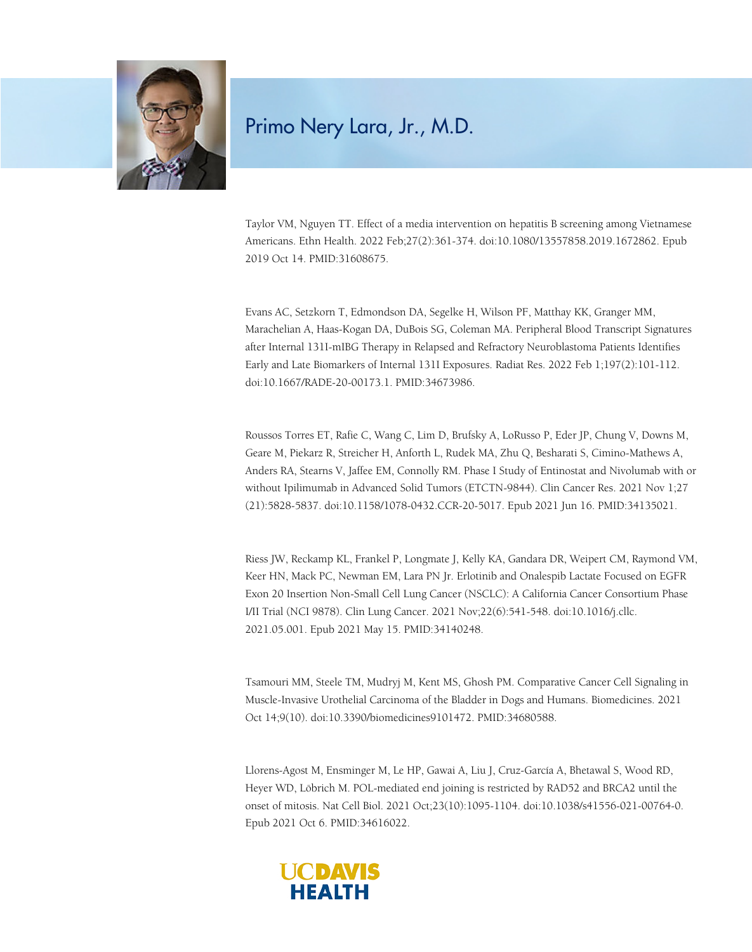

Taylor VM, Nguyen TT. Effect of a media intervention on hepatitis B screening among Vietnamese Americans. Ethn Health. 2022 Feb;27(2):361-374. doi:10.1080/13557858.2019.1672862. Epub 2019 Oct 14. PMID:31608675.

Evans AC, Setzkorn T, Edmondson DA, Segelke H, Wilson PF, Matthay KK, Granger MM, Marachelian A, Haas-Kogan DA, DuBois SG, Coleman MA. Peripheral Blood Transcript Signatures after Internal 131I-mIBG Therapy in Relapsed and Refractory Neuroblastoma Patients Identifies Early and Late Biomarkers of Internal 131I Exposures. Radiat Res. 2022 Feb 1;197(2):101-112. doi:10.1667/RADE-20-00173.1. PMID:34673986.

Roussos Torres ET, Rafie C, Wang C, Lim D, Brufsky A, LoRusso P, Eder JP, Chung V, Downs M, Geare M, Piekarz R, Streicher H, Anforth L, Rudek MA, Zhu Q, Besharati S, Cimino-Mathews A, Anders RA, Stearns V, Jaffee EM, Connolly RM. Phase I Study of Entinostat and Nivolumab with or without Ipilimumab in Advanced Solid Tumors (ETCTN-9844). Clin Cancer Res. 2021 Nov 1;27 (21):5828-5837. doi:10.1158/1078-0432.CCR-20-5017. Epub 2021 Jun 16. PMID:34135021.

Riess JW, Reckamp KL, Frankel P, Longmate J, Kelly KA, Gandara DR, Weipert CM, Raymond VM, Keer HN, Mack PC, Newman EM, Lara PN Jr. Erlotinib and Onalespib Lactate Focused on EGFR Exon 20 Insertion Non-Small Cell Lung Cancer (NSCLC): A California Cancer Consortium Phase I/II Trial (NCI 9878). Clin Lung Cancer. 2021 Nov;22(6):541-548. doi:10.1016/j.cllc. 2021.05.001. Epub 2021 May 15. PMID:34140248.

Tsamouri MM, Steele TM, Mudryj M, Kent MS, Ghosh PM. Comparative Cancer Cell Signaling in Muscle-Invasive Urothelial Carcinoma of the Bladder in Dogs and Humans. Biomedicines. 2021 Oct 14;9(10). doi:10.3390/biomedicines9101472. PMID:34680588.

Llorens-Agost M, Ensminger M, Le HP, Gawai A, Liu J, Cruz-García A, Bhetawal S, Wood RD, Heyer WD, Löbrich M. POL-mediated end joining is restricted by RAD52 and BRCA2 until the onset of mitosis. Nat Cell Biol. 2021 Oct;23(10):1095-1104. doi:10.1038/s41556-021-00764-0. Epub 2021 Oct 6. PMID:34616022.